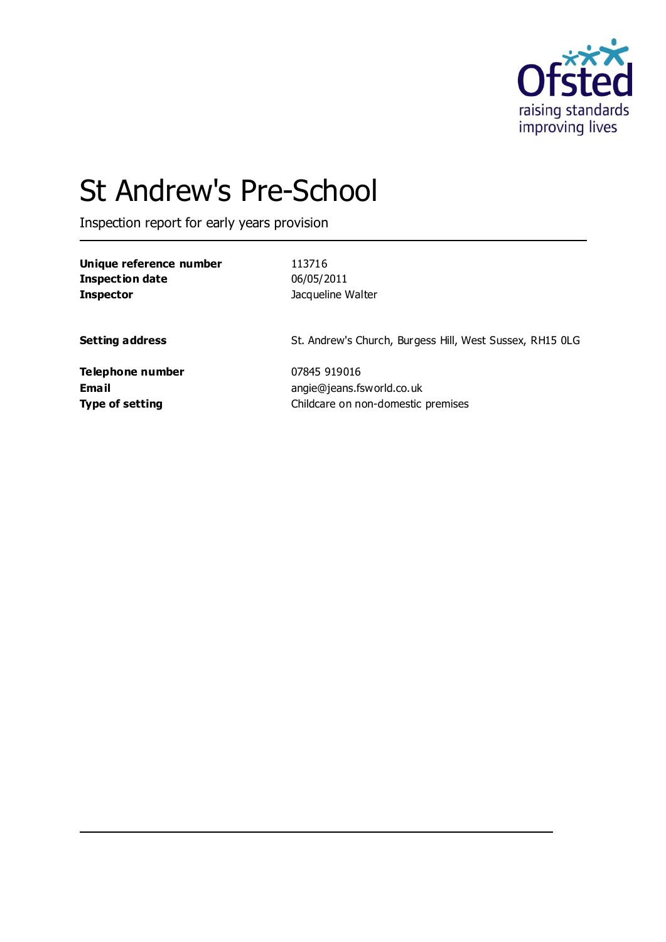

# St Andrew's Pre-School

Inspection report for early years provision

| Unique reference number | 113716                                                   |
|-------------------------|----------------------------------------------------------|
| <b>Inspection date</b>  | 06/05/2011                                               |
| <b>Inspector</b>        | Jacqueline Walter                                        |
| <b>Setting address</b>  | St. Andrew's Church, Burgess Hill, West Sussex, RH15 OLG |
| Telephone number        | 07845 919016                                             |
| Email                   | angie@jeans.fsworld.co.uk                                |
| <b>Type of setting</b>  | Childcare on non-domestic premises                       |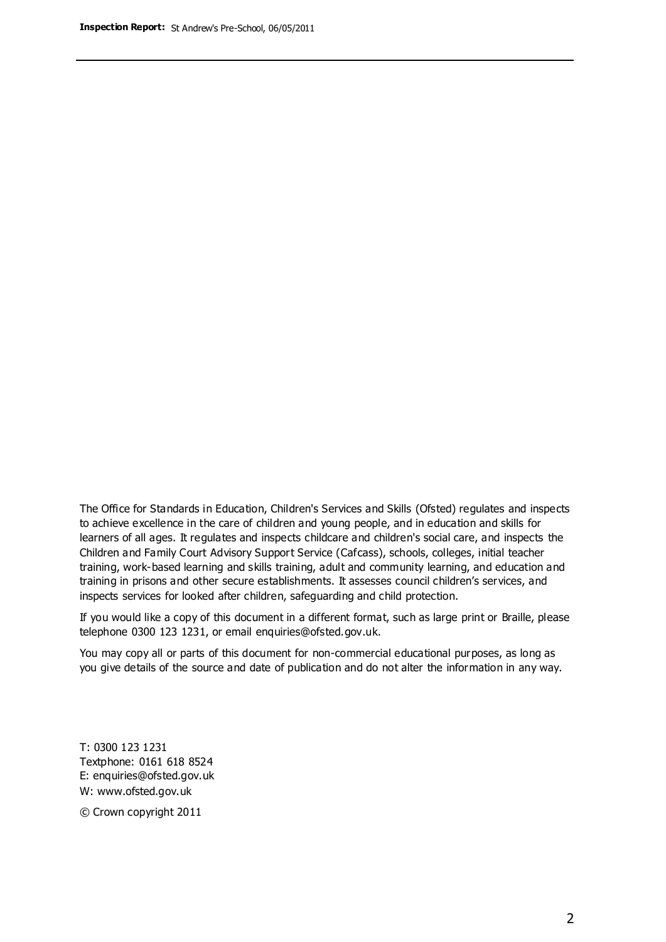The Office for Standards in Education, Children's Services and Skills (Ofsted) regulates and inspects to achieve excellence in the care of children and young people, and in education and skills for learners of all ages. It regulates and inspects childcare and children's social care, and inspects the Children and Family Court Advisory Support Service (Cafcass), schools, colleges, initial teacher training, work-based learning and skills training, adult and community learning, and education and training in prisons and other secure establishments. It assesses council children's services, and inspects services for looked after children, safeguarding and child protection.

If you would like a copy of this document in a different format, such as large print or Braille, please telephone 0300 123 1231, or email enquiries@ofsted.gov.uk.

You may copy all or parts of this document for non-commercial educational purposes, as long as you give details of the source and date of publication and do not alter the information in any way.

T: 0300 123 1231 Textphone: 0161 618 8524 E: enquiries@ofsted.gov.uk W: [www.ofsted.gov.uk](http://www.ofsted.gov.uk/)

© Crown copyright 2011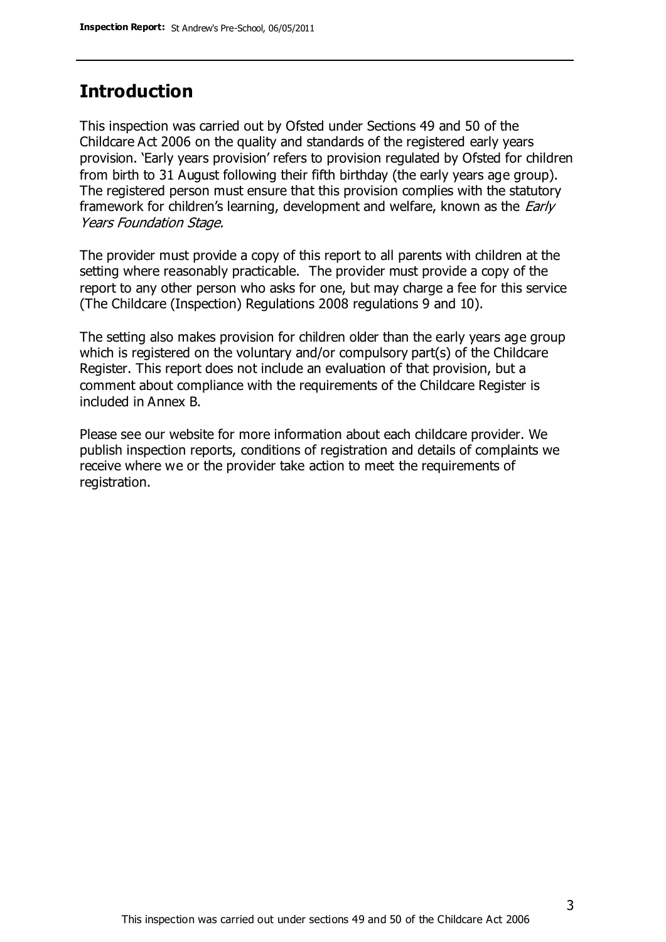# **Introduction**

This inspection was carried out by Ofsted under Sections 49 and 50 of the Childcare Act 2006 on the quality and standards of the registered early years provision. 'Early years provision' refers to provision regulated by Ofsted for children from birth to 31 August following their fifth birthday (the early years age group). The registered person must ensure that this provision complies with the statutory framework for children's learning, development and welfare, known as the *Early* Years Foundation Stage.

The provider must provide a copy of this report to all parents with children at the setting where reasonably practicable. The provider must provide a copy of the report to any other person who asks for one, but may charge a fee for this service (The Childcare (Inspection) Regulations 2008 regulations 9 and 10).

The setting also makes provision for children older than the early years age group which is registered on the voluntary and/or compulsory part(s) of the Childcare Register. This report does not include an evaluation of that provision, but a comment about compliance with the requirements of the Childcare Register is included in Annex B.

Please see our website for more information about each childcare provider. We publish inspection reports, conditions of registration and details of complaints we receive where we or the provider take action to meet the requirements of registration.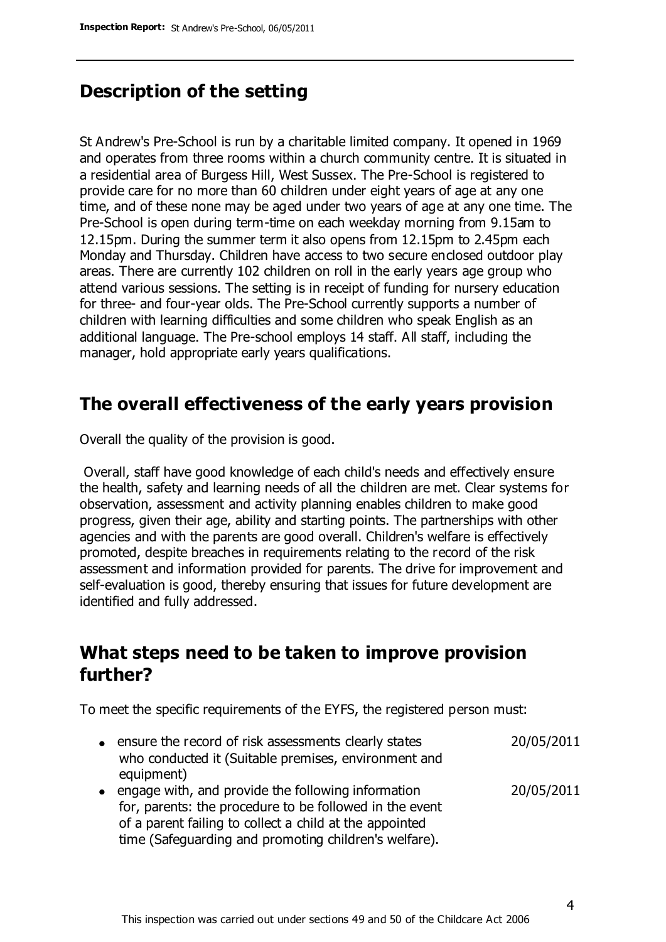# **Description of the setting**

St Andrew's Pre-School is run by a charitable limited company. It opened in 1969 and operates from three rooms within a church community centre. It is situated in a residential area of Burgess Hill, West Sussex. The Pre-School is registered to provide care for no more than 60 children under eight years of age at any one time, and of these none may be aged under two years of age at any one time. The Pre-School is open during term-time on each weekday morning from 9.15am to 12.15pm. During the summer term it also opens from 12.15pm to 2.45pm each Monday and Thursday. Children have access to two secure enclosed outdoor play areas. There are currently 102 children on roll in the early years age group who attend various sessions. The setting is in receipt of funding for nursery education for three- and four-year olds. The Pre-School currently supports a number of children with learning difficulties and some children who speak English as an additional language. The Pre-school employs 14 staff. All staff, including the manager, hold appropriate early years qualifications.

### **The overall effectiveness of the early years provision**

Overall the quality of the provision is good.

Overall, staff have good knowledge of each child's needs and effectively ensure the health, safety and learning needs of all the children are met. Clear systems for observation, assessment and activity planning enables children to make good progress, given their age, ability and starting points. The partnerships with other agencies and with the parents are good overall. Children's welfare is effectively promoted, despite breaches in requirements relating to the record of the risk assessment and information provided for parents. The drive for improvement and self-evaluation is good, thereby ensuring that issues for future development are identified and fully addressed.

# **What steps need to be taken to improve provision further?**

To meet the specific requirements of the EYFS, the registered person must:

ensure the record of risk assessments clearly states who conducted it (Suitable premises, environment and equipment) 20/05/2011 • engage with, and provide the following information for, parents: the procedure to be followed in the event of a parent failing to collect a child at the appointed 20/05/2011

time (Safeguarding and promoting children's welfare).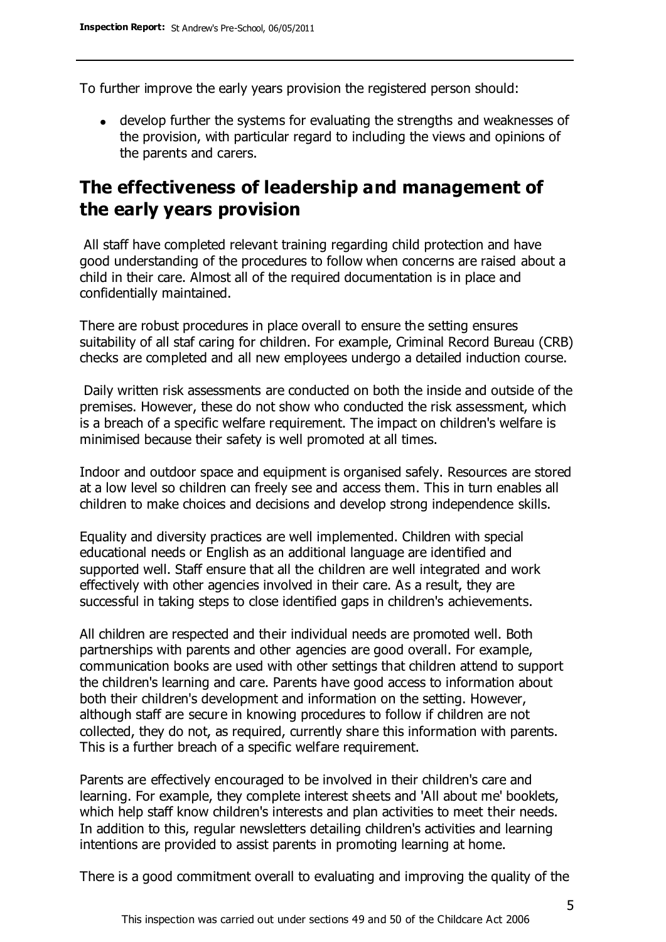To further improve the early years provision the registered person should:

develop further the systems for evaluating the strengths and weaknesses of the provision, with particular regard to including the views and opinions of the parents and carers.

# **The effectiveness of leadership and management of the early years provision**

All staff have completed relevant training regarding child protection and have good understanding of the procedures to follow when concerns are raised about a child in their care. Almost all of the required documentation is in place and confidentially maintained.

There are robust procedures in place overall to ensure the setting ensures suitability of all staf caring for children. For example, Criminal Record Bureau (CRB) checks are completed and all new employees undergo a detailed induction course.

Daily written risk assessments are conducted on both the inside and outside of the premises. However, these do not show who conducted the risk assessment, which is a breach of a specific welfare requirement. The impact on children's welfare is minimised because their safety is well promoted at all times.

Indoor and outdoor space and equipment is organised safely. Resources are stored at a low level so children can freely see and access them. This in turn enables all children to make choices and decisions and develop strong independence skills.

Equality and diversity practices are well implemented. Children with special educational needs or English as an additional language are identified and supported well. Staff ensure that all the children are well integrated and work effectively with other agencies involved in their care. As a result, they are successful in taking steps to close identified gaps in children's achievements.

All children are respected and their individual needs are promoted well. Both partnerships with parents and other agencies are good overall. For example, communication books are used with other settings that children attend to support the children's learning and care. Parents have good access to information about both their children's development and information on the setting. However, although staff are secure in knowing procedures to follow if children are not collected, they do not, as required, currently share this information with parents. This is a further breach of a specific welfare requirement.

Parents are effectively encouraged to be involved in their children's care and learning. For example, they complete interest sheets and 'All about me' booklets, which help staff know children's interests and plan activities to meet their needs. In addition to this, regular newsletters detailing children's activities and learning intentions are provided to assist parents in promoting learning at home.

There is a good commitment overall to evaluating and improving the quality of the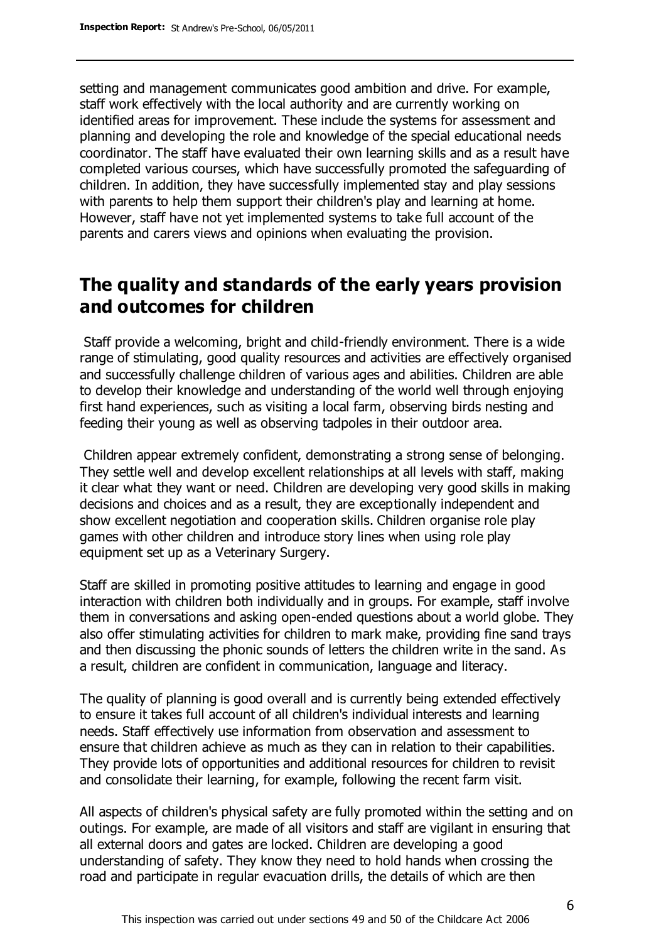setting and management communicates good ambition and drive. For example, staff work effectively with the local authority and are currently working on identified areas for improvement. These include the systems for assessment and planning and developing the role and knowledge of the special educational needs coordinator. The staff have evaluated their own learning skills and as a result have completed various courses, which have successfully promoted the safeguarding of children. In addition, they have successfully implemented stay and play sessions with parents to help them support their children's play and learning at home. However, staff have not yet implemented systems to take full account of the parents and carers views and opinions when evaluating the provision.

### **The quality and standards of the early years provision and outcomes for children**

Staff provide a welcoming, bright and child-friendly environment. There is a wide range of stimulating, good quality resources and activities are effectively organised and successfully challenge children of various ages and abilities. Children are able to develop their knowledge and understanding of the world well through enjoying first hand experiences, such as visiting a local farm, observing birds nesting and feeding their young as well as observing tadpoles in their outdoor area.

Children appear extremely confident, demonstrating a strong sense of belonging. They settle well and develop excellent relationships at all levels with staff, making it clear what they want or need. Children are developing very good skills in making decisions and choices and as a result, they are exceptionally independent and show excellent negotiation and cooperation skills. Children organise role play games with other children and introduce story lines when using role play equipment set up as a Veterinary Surgery.

Staff are skilled in promoting positive attitudes to learning and engage in good interaction with children both individually and in groups. For example, staff involve them in conversations and asking open-ended questions about a world globe. They also offer stimulating activities for children to mark make, providing fine sand trays and then discussing the phonic sounds of letters the children write in the sand. As a result, children are confident in communication, language and literacy.

The quality of planning is good overall and is currently being extended effectively to ensure it takes full account of all children's individual interests and learning needs. Staff effectively use information from observation and assessment to ensure that children achieve as much as they can in relation to their capabilities. They provide lots of opportunities and additional resources for children to revisit and consolidate their learning, for example, following the recent farm visit.

All aspects of children's physical safety are fully promoted within the setting and on outings. For example, are made of all visitors and staff are vigilant in ensuring that all external doors and gates are locked. Children are developing a good understanding of safety. They know they need to hold hands when crossing the road and participate in regular evacuation drills, the details of which are then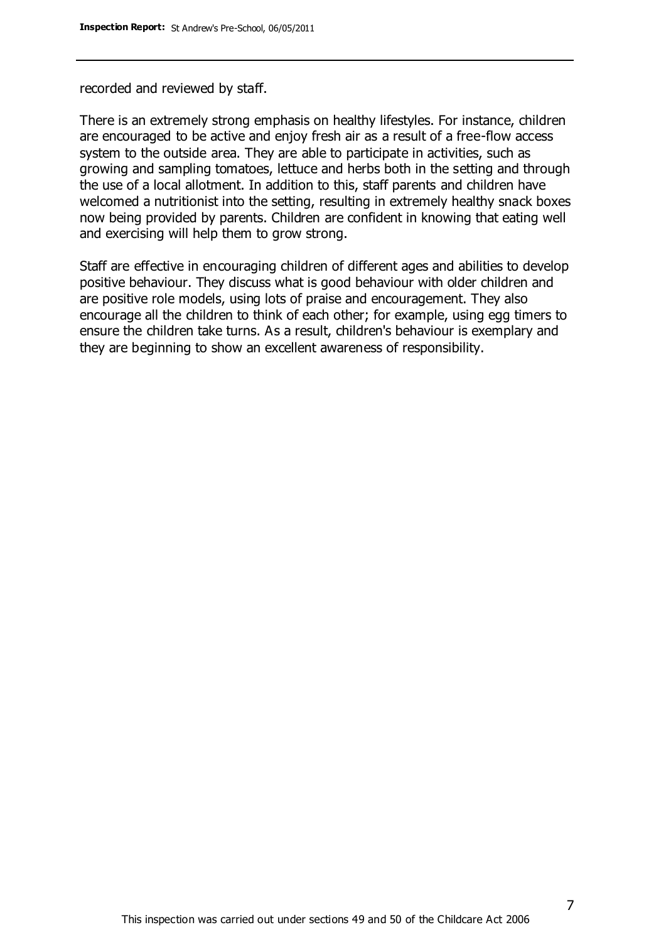recorded and reviewed by staff.

There is an extremely strong emphasis on healthy lifestyles. For instance, children are encouraged to be active and enjoy fresh air as a result of a free-flow access system to the outside area. They are able to participate in activities, such as growing and sampling tomatoes, lettuce and herbs both in the setting and through the use of a local allotment. In addition to this, staff parents and children have welcomed a nutritionist into the setting, resulting in extremely healthy snack boxes now being provided by parents. Children are confident in knowing that eating well and exercising will help them to grow strong.

Staff are effective in encouraging children of different ages and abilities to develop positive behaviour. They discuss what is good behaviour with older children and are positive role models, using lots of praise and encouragement. They also encourage all the children to think of each other; for example, using egg timers to ensure the children take turns. As a result, children's behaviour is exemplary and they are beginning to show an excellent awareness of responsibility.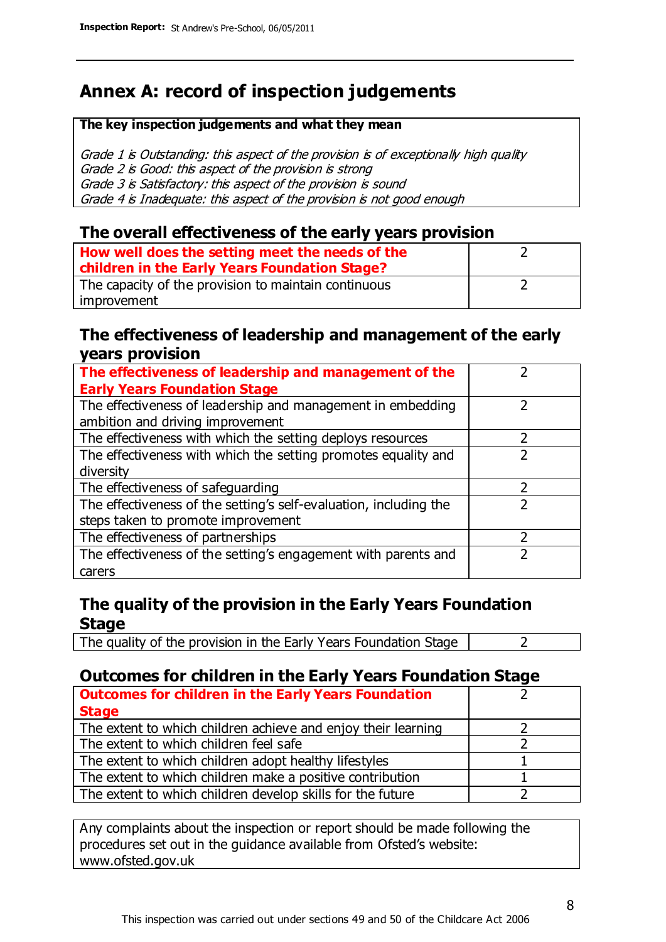# **Annex A: record of inspection judgements**

#### **The key inspection judgements and what they mean**

Grade 1 is Outstanding: this aspect of the provision is of exceptionally high quality Grade 2 is Good: this aspect of the provision is strong Grade 3 is Satisfactory: this aspect of the provision is sound Grade 4 is Inadequate: this aspect of the provision is not good enough

### **The overall effectiveness of the early years provision**

| How well does the setting meet the needs of the<br>children in the Early Years Foundation Stage? |  |
|--------------------------------------------------------------------------------------------------|--|
| The capacity of the provision to maintain continuous                                             |  |
| improvement                                                                                      |  |

### **The effectiveness of leadership and management of the early years provision**

| The effectiveness of leadership and management of the             |  |
|-------------------------------------------------------------------|--|
| <b>Early Years Foundation Stage</b>                               |  |
| The effectiveness of leadership and management in embedding       |  |
| ambition and driving improvement                                  |  |
| The effectiveness with which the setting deploys resources        |  |
| The effectiveness with which the setting promotes equality and    |  |
| diversity                                                         |  |
| The effectiveness of safeguarding                                 |  |
| The effectiveness of the setting's self-evaluation, including the |  |
| steps taken to promote improvement                                |  |
| The effectiveness of partnerships                                 |  |
| The effectiveness of the setting's engagement with parents and    |  |
| carers                                                            |  |

### **The quality of the provision in the Early Years Foundation Stage**

The quality of the provision in the Early Years Foundation Stage  $\vert$  2

### **Outcomes for children in the Early Years Foundation Stage**

| <b>Outcomes for children in the Early Years Foundation</b>    |  |
|---------------------------------------------------------------|--|
| <b>Stage</b>                                                  |  |
| The extent to which children achieve and enjoy their learning |  |
| The extent to which children feel safe                        |  |
| The extent to which children adopt healthy lifestyles         |  |
| The extent to which children make a positive contribution     |  |
| The extent to which children develop skills for the future    |  |

Any complaints about the inspection or report should be made following the procedures set out in the guidance available from Ofsted's website: www.ofsted.gov.uk